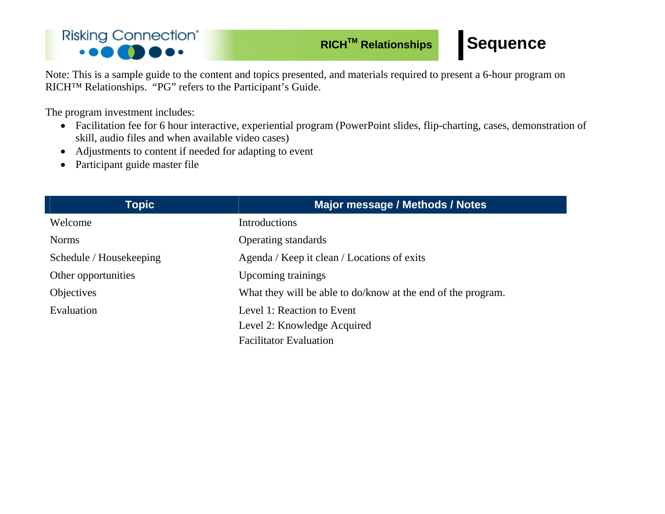#### **Risking Connection®** ...  $\bullet$  00 (

## **RICH<sup>™</sup> Relationships Sequence**

Note: This is a sample guide to the content and topics presented, and materials required to present a 6-hour program on RICH™ Relationships. "PG" refers to the Participant's Guide.

The program investment includes:

- Facilitation fee for 6 hour interactive, experiential program (PowerPoint slides, flip-charting, cases, demonstration of skill, audio files and when available video cases)
- Adjustments to content if needed for adapting to event
- Participant guide master file

| Topic                   | <b>Major message / Methods / Notes</b>                       |
|-------------------------|--------------------------------------------------------------|
| Welcome                 | Introductions                                                |
| <b>Norms</b>            | <b>Operating standards</b>                                   |
| Schedule / Housekeeping | Agenda / Keep it clean / Locations of exits                  |
| Other opportunities     | Upcoming trainings                                           |
| <b>Objectives</b>       | What they will be able to do/know at the end of the program. |
| Evaluation              | Level 1: Reaction to Event                                   |
|                         | Level 2: Knowledge Acquired                                  |
|                         | <b>Facilitator Evaluation</b>                                |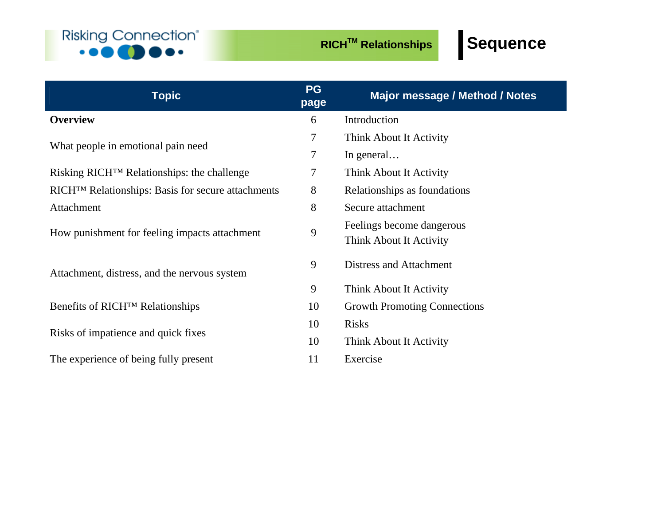

| <b>Topic</b>                                                  | <b>PG</b><br>page | <b>Major message / Method / Notes</b> |
|---------------------------------------------------------------|-------------------|---------------------------------------|
| <b>Overview</b>                                               | 6                 | Introduction                          |
|                                                               | 7                 | Think About It Activity               |
| What people in emotional pain need                            | $\tau$            | In general                            |
| Risking RICH <sup>™</sup> Relationships: the challenge        | 7                 | Think About It Activity               |
| RICH <sup>™</sup> Relationships: Basis for secure attachments | 8                 | Relationships as foundations          |
| Attachment                                                    | 8                 | Secure attachment                     |
|                                                               | 9                 | Feelings become dangerous             |
| How punishment for feeling impacts attachment                 |                   | Think About It Activity               |
| Attachment, distress, and the nervous system                  | 9                 | Distress and Attachment               |
|                                                               | 9                 | Think About It Activity               |
| Benefits of RICH <sup>TM</sup> Relationships                  | 10                | <b>Growth Promoting Connections</b>   |
| Risks of impatience and quick fixes                           | 10                | <b>Risks</b>                          |
|                                                               | 10                | Think About It Activity               |
| The experience of being fully present                         | 11                | Exercise                              |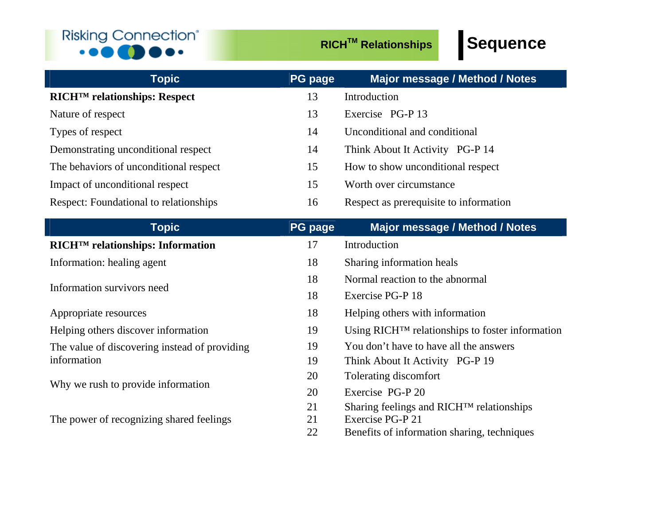#### **Risking Connection®**  $\bullet \bullet \bullet$  $\cdot\bullet\bullet\bullet$

| <b>Topic</b>                                   | <b>PG page</b> | <b>Major message / Method / Notes</b>                       |
|------------------------------------------------|----------------|-------------------------------------------------------------|
| <b>RICH<sup>™</sup> relationships: Respect</b> | 13             | Introduction                                                |
| Nature of respect                              | 13             | Exercise PG-P 13                                            |
| Types of respect                               | 14             | Unconditional and conditional                               |
| Demonstrating unconditional respect            | 14             | Think About It Activity PG-P 14                             |
| The behaviors of unconditional respect         | 15             | How to show unconditional respect                           |
| Impact of unconditional respect                | 15             | Worth over circumstance                                     |
| Respect: Foundational to relationships         | 16             | Respect as prerequisite to information                      |
| <b>Topic</b>                                   | <b>PG page</b> | Major message / Method / Notes                              |
| RICH <sup>TM</sup> relationships: Information  | 17             | Introduction                                                |
| Information: healing agent                     | 18             | Sharing information heals                                   |
|                                                | 18             | Normal reaction to the abnormal                             |
| Information survivors need                     | 18             | Exercise PG-P 18                                            |
| Appropriate resources                          | 18             | Helping others with information                             |
| Helping others discover information            | 19             | Using RICH <sup>™</sup> relationships to foster information |
| The value of discovering instead of providing  | 19             | You don't have to have all the answers                      |
| information                                    | 19             | Think About It Activity PG-P 19                             |
|                                                | 20             | Tolerating discomfort                                       |
| Why we rush to provide information             | 20             | Exercise PG-P 20                                            |
|                                                | 21             | Sharing feelings and RICH™ relationships                    |
| The power of recognizing shared feelings       | 21             | Exercise PG-P 21                                            |
|                                                | 22             | Benefits of information sharing, techniques                 |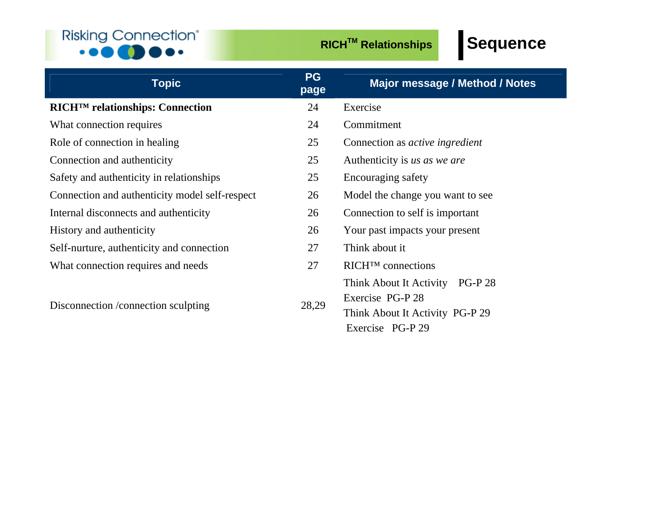### **Risking Connection®**  $\cdot \cdot \cdot \bullet \bullet \bullet \bullet \cdot \cdot$

| <b>Topic</b>                                   | <b>PG</b><br>page | <b>Major message / Method / Notes</b>                        |
|------------------------------------------------|-------------------|--------------------------------------------------------------|
| RICH <sup>TM</sup> relationships: Connection   | 24                | Exercise                                                     |
| What connection requires                       | 24                | Commitment                                                   |
| Role of connection in healing                  | 25                | Connection as <i>active ingredient</i>                       |
| Connection and authenticity                    | 25                | Authenticity is us as we are                                 |
| Safety and authenticity in relationships       | 25                | Encouraging safety                                           |
| Connection and authenticity model self-respect | 26                | Model the change you want to see                             |
| Internal disconnects and authenticity          | 26                | Connection to self is important                              |
| History and authenticity                       | 26                | Your past impacts your present                               |
| Self-nurture, authenticity and connection      | 27                | Think about it                                               |
| What connection requires and needs             | 27                | $\mathbb{R} \Gamma$ T <sup>M</sup> connections               |
|                                                | 28,29             | Think About It Activity<br><b>PG-P28</b><br>Exercise PG-P 28 |
| Disconnection / connection sculpting           |                   | Think About It Activity PG-P 29<br>Exercise PG-P 29          |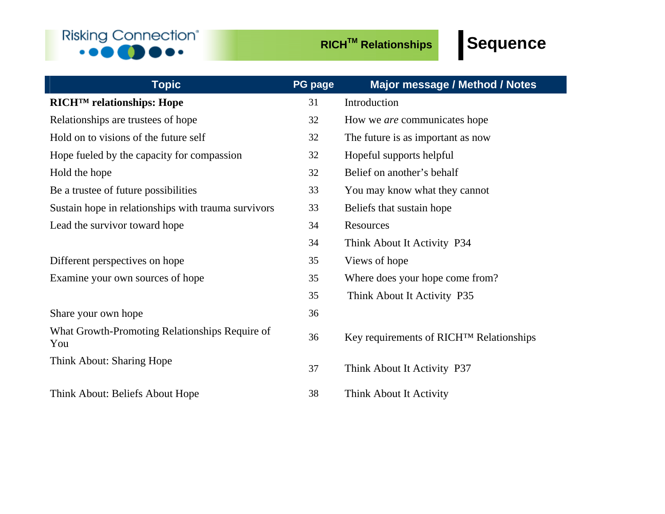## **Risking Connection®**  $\cdot \cdot \cdot \bullet \bullet \bullet \bullet \cdot \cdot$

| <b>Topic</b>                                          | <b>PG page</b> | Major message / Method / Notes          |
|-------------------------------------------------------|----------------|-----------------------------------------|
| <b>RICH<sup>™</sup></b> relationships: Hope           | 31             | Introduction                            |
| Relationships are trustees of hope                    | 32             | How we <i>are</i> communicates hope     |
| Hold on to visions of the future self                 | 32             | The future is as important as now       |
| Hope fueled by the capacity for compassion            | 32             | Hopeful supports helpful                |
| Hold the hope                                         | 32             | Belief on another's behalf              |
| Be a trustee of future possibilities                  | 33             | You may know what they cannot           |
| Sustain hope in relationships with trauma survivors   | 33             | Beliefs that sustain hope               |
| Lead the survivor toward hope                         | 34             | Resources                               |
|                                                       | 34             | Think About It Activity P34             |
| Different perspectives on hope                        | 35             | Views of hope                           |
| Examine your own sources of hope                      | 35             | Where does your hope come from?         |
|                                                       | 35             | Think About It Activity P35             |
| Share your own hope                                   | 36             |                                         |
| What Growth-Promoting Relationships Require of<br>You | 36             | Key requirements of RICH™ Relationships |
| Think About: Sharing Hope                             | 37             | Think About It Activity P37             |
| Think About: Beliefs About Hope                       | 38             | Think About It Activity                 |